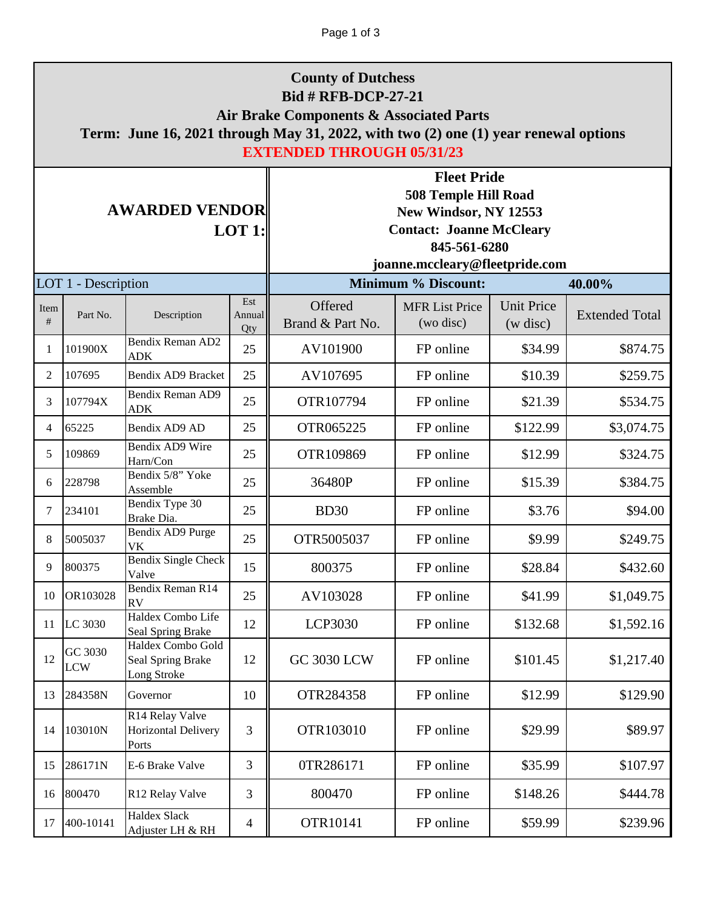| <b>County of Dutchess</b><br><b>Bid # RFB-DCP-27-21</b><br>Air Brake Components & Associated Parts<br>Term: June 16, 2021 through May 31, 2022, with two (2) one (1) year renewal options<br><b>EXTENDED THROUGH 05/31/23</b> |                       |                                                       |                      |                                                                                                                                                                 |                                    |                               |                       |
|-------------------------------------------------------------------------------------------------------------------------------------------------------------------------------------------------------------------------------|-----------------------|-------------------------------------------------------|----------------------|-----------------------------------------------------------------------------------------------------------------------------------------------------------------|------------------------------------|-------------------------------|-----------------------|
| <b>AWARDED VENDOR</b><br>LOT 1:                                                                                                                                                                                               |                       |                                                       |                      | <b>Fleet Pride</b><br><b>508 Temple Hill Road</b><br>New Windsor, NY 12553<br><b>Contact: Joanne McCleary</b><br>845-561-6280<br>joanne.mccleary@fleetpride.com |                                    |                               |                       |
|                                                                                                                                                                                                                               | LOT 1 - Description   |                                                       |                      |                                                                                                                                                                 | <b>Minimum % Discount:</b>         | 40.00%                        |                       |
| Item<br>#                                                                                                                                                                                                                     | Part No.              | Description                                           | Est<br>Annual<br>Qty | Offered<br>Brand & Part No.                                                                                                                                     | <b>MFR List Price</b><br>(wo disc) | <b>Unit Price</b><br>(w disc) | <b>Extended Total</b> |
| 1                                                                                                                                                                                                                             | 101900X               | Bendix Reman AD2<br><b>ADK</b>                        | 25                   | AV101900                                                                                                                                                        | FP online                          | \$34.99                       | \$874.75              |
| 2                                                                                                                                                                                                                             | 107695                | Bendix AD9 Bracket                                    | 25                   | AV107695                                                                                                                                                        | FP online                          | \$10.39                       | \$259.75              |
| 3                                                                                                                                                                                                                             | 107794X               | Bendix Reman AD9<br><b>ADK</b>                        | 25                   | OTR107794                                                                                                                                                       | FP online                          | \$21.39                       | \$534.75              |
| 4                                                                                                                                                                                                                             | 65225                 | Bendix AD9 AD                                         | 25                   | OTR065225                                                                                                                                                       | FP online                          | \$122.99                      | \$3,074.75            |
| 5                                                                                                                                                                                                                             | 109869                | Bendix AD9 Wire<br>Harn/Con                           | 25                   | OTR109869                                                                                                                                                       | FP online                          | \$12.99                       | \$324.75              |
| 6                                                                                                                                                                                                                             | 228798                | Bendix 5/8" Yoke<br>Assemble                          | 25                   | 36480P                                                                                                                                                          | FP online                          | \$15.39                       | \$384.75              |
| 7                                                                                                                                                                                                                             | 234101                | Bendix Type 30<br>Brake Dia.                          | 25                   | <b>BD30</b>                                                                                                                                                     | FP online                          | \$3.76                        | \$94.00               |
| 8                                                                                                                                                                                                                             | 5005037               | Bendix AD9 Purge<br><b>VK</b>                         | 25                   | OTR5005037                                                                                                                                                      | FP online                          | \$9.99                        | \$249.75              |
|                                                                                                                                                                                                                               | 9 800375              | <b>Bendix Single Check</b><br>Valve                   | 15                   | 800375                                                                                                                                                          | FP online                          | \$28.84                       | \$432.60              |
| 10                                                                                                                                                                                                                            | OR103028              | Bendix Reman R14<br><b>RV</b>                         | 25                   | AV103028                                                                                                                                                        | FP online                          | \$41.99                       | \$1,049.75            |
| 11                                                                                                                                                                                                                            | LC 3030               | Haldex Combo Life<br>Seal Spring Brake                | 12                   | LCP3030                                                                                                                                                         | FP online                          | \$132.68                      | \$1,592.16            |
| 12                                                                                                                                                                                                                            | GC 3030<br><b>LCW</b> | Haldex Combo Gold<br>Seal Spring Brake<br>Long Stroke | 12                   | <b>GC 3030 LCW</b>                                                                                                                                              | FP online                          | \$101.45                      | \$1,217.40            |
| 13                                                                                                                                                                                                                            | 284358N               | Governor                                              | 10                   | OTR284358                                                                                                                                                       | FP online                          | \$12.99                       | \$129.90              |
| 14                                                                                                                                                                                                                            | 103010N               | R14 Relay Valve<br>Horizontal Delivery<br>Ports       | 3                    | OTR103010                                                                                                                                                       | FP online                          | \$29.99                       | \$89.97               |
| 15                                                                                                                                                                                                                            | 286171N               | E-6 Brake Valve                                       | 3                    | 0TR286171                                                                                                                                                       | FP online                          | \$35.99                       | \$107.97              |
| 16                                                                                                                                                                                                                            | 800470                | R12 Relay Valve                                       | 3                    | 800470                                                                                                                                                          | FP online                          | \$148.26                      | \$444.78              |
| 17                                                                                                                                                                                                                            | 400-10141             | <b>Haldex Slack</b><br>Adjuster LH & RH               | $\overline{4}$       | OTR10141                                                                                                                                                        | FP online                          | \$59.99                       | \$239.96              |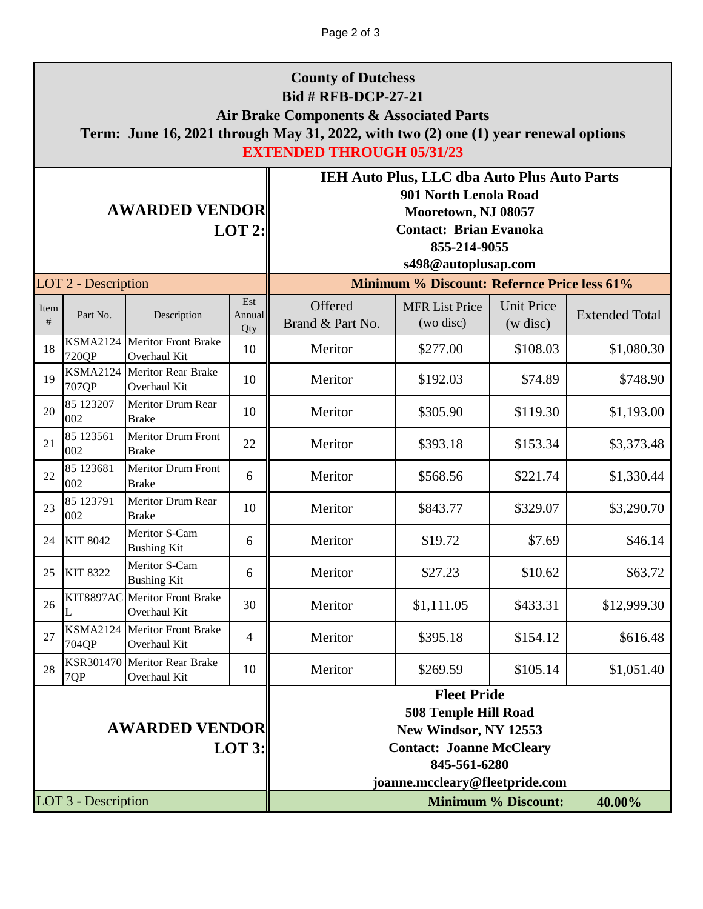| <b>County of Dutchess</b><br><b>Bid # RFB-DCP-27-21</b><br>Air Brake Components & Associated Parts<br>Term: June 16, 2021 through May 31, 2022, with two (2) one (1) year renewal options<br><b>EXTENDED THROUGH 05/31/23</b> |                          |                                            |                                                                                                                                                                 |                                                                                                                                                                            |                                                    |                               |                       |
|-------------------------------------------------------------------------------------------------------------------------------------------------------------------------------------------------------------------------------|--------------------------|--------------------------------------------|-----------------------------------------------------------------------------------------------------------------------------------------------------------------|----------------------------------------------------------------------------------------------------------------------------------------------------------------------------|----------------------------------------------------|-------------------------------|-----------------------|
| <b>AWARDED VENDOR</b><br>$LOT$ 2:                                                                                                                                                                                             |                          |                                            |                                                                                                                                                                 | <b>IEH Auto Plus, LLC dba Auto Plus Auto Parts</b><br>901 North Lenola Road<br>Mooretown, NJ 08057<br><b>Contact: Brian Evanoka</b><br>855-214-9055<br>s498@autoplusap.com |                                                    |                               |                       |
|                                                                                                                                                                                                                               | LOT 2 - Description      |                                            |                                                                                                                                                                 |                                                                                                                                                                            | <b>Minimum % Discount: Refernce Price less 61%</b> |                               |                       |
| Item<br>#                                                                                                                                                                                                                     | Part No.                 | Description                                | Est<br>Annual<br>Qty                                                                                                                                            | Offered<br>Brand & Part No.                                                                                                                                                | <b>MFR List Price</b><br>(wo disc)                 | <b>Unit Price</b><br>(w disc) | <b>Extended Total</b> |
| 18                                                                                                                                                                                                                            | <b>KSMA2124</b><br>720QP | <b>Meritor Front Brake</b><br>Overhaul Kit | 10                                                                                                                                                              | Meritor                                                                                                                                                                    | \$277.00                                           | \$108.03                      | \$1,080.30            |
| 19                                                                                                                                                                                                                            | <b>KSMA2124</b><br>707QP | <b>Meritor Rear Brake</b><br>Overhaul Kit  | 10                                                                                                                                                              | Meritor                                                                                                                                                                    | \$192.03                                           | \$74.89                       | \$748.90              |
| 20                                                                                                                                                                                                                            | 85 123207<br>002         | Meritor Drum Rear<br><b>Brake</b>          | 10                                                                                                                                                              | Meritor                                                                                                                                                                    | \$305.90                                           | \$119.30                      | \$1,193.00            |
| 21                                                                                                                                                                                                                            | 85 123561<br>002         | Meritor Drum Front<br><b>Brake</b>         | 22                                                                                                                                                              | Meritor                                                                                                                                                                    | \$393.18                                           | \$153.34                      | \$3,373.48            |
| 22                                                                                                                                                                                                                            | 85 123681<br>002         | Meritor Drum Front<br><b>Brake</b>         | 6                                                                                                                                                               | Meritor                                                                                                                                                                    | \$568.56                                           | \$221.74                      | \$1,330.44            |
| 23                                                                                                                                                                                                                            | 85 123791<br>002         | Meritor Drum Rear<br><b>Brake</b>          | 10                                                                                                                                                              | Meritor                                                                                                                                                                    | \$843.77                                           | \$329.07                      | \$3,290.70            |
| 24                                                                                                                                                                                                                            | <b>KIT 8042</b>          | Meritor S-Cam<br><b>Bushing Kit</b>        | 6                                                                                                                                                               | Meritor                                                                                                                                                                    | \$19.72                                            | \$7.69                        | \$46.14               |
|                                                                                                                                                                                                                               | 25 KIT 8322              | Meritor S-Cam<br><b>Bushing Kit</b>        | 6                                                                                                                                                               | Meritor                                                                                                                                                                    | \$27.23                                            | \$10.62                       | \$63.72               |
| 26                                                                                                                                                                                                                            | <b>KIT8897AC</b><br>L    | <b>Meritor Front Brake</b><br>Overhaul Kit | 30                                                                                                                                                              | Meritor                                                                                                                                                                    | \$1,111.05                                         | \$433.31                      | \$12,999.30           |
| 27                                                                                                                                                                                                                            | <b>KSMA2124</b><br>704QP | <b>Meritor Front Brake</b><br>Overhaul Kit | $\overline{4}$                                                                                                                                                  | Meritor                                                                                                                                                                    | \$395.18                                           | \$154.12                      | \$616.48              |
| 28                                                                                                                                                                                                                            | KSR301470<br>7QP         | <b>Meritor Rear Brake</b><br>Overhaul Kit  | 10                                                                                                                                                              | Meritor                                                                                                                                                                    | \$269.59                                           | \$105.14                      | \$1,051.40            |
| <b>AWARDED VENDOR</b><br>LOT 3:                                                                                                                                                                                               |                          |                                            | <b>Fleet Pride</b><br><b>508 Temple Hill Road</b><br>New Windsor, NY 12553<br><b>Contact: Joanne McCleary</b><br>845-561-6280<br>joanne.mccleary@fleetpride.com |                                                                                                                                                                            |                                                    |                               |                       |
| LOT 3 - Description                                                                                                                                                                                                           |                          |                                            |                                                                                                                                                                 |                                                                                                                                                                            | <b>Minimum % Discount:</b>                         | 40.00%                        |                       |